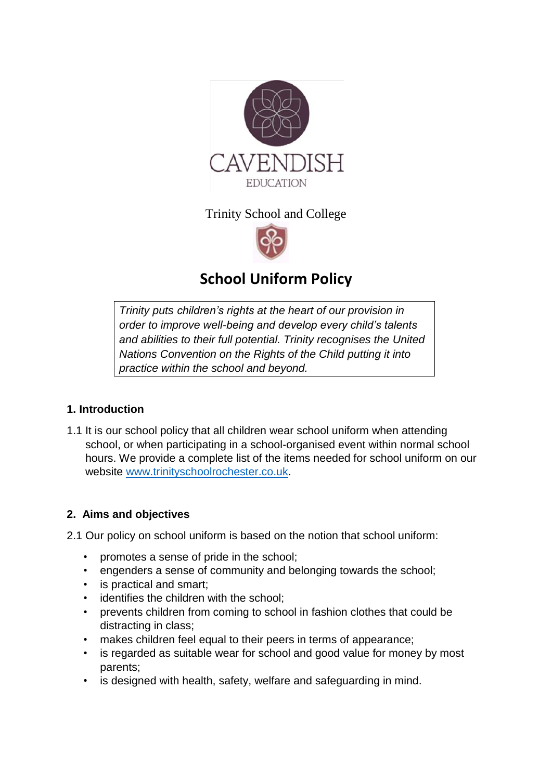

Trinity School and College



# **School Uniform Policy**

*Trinity puts [children's rights](http://www.unicef.org.uk/rights-respecting-schools/about-the-award/child-rights-in-schools/) at the heart of our provision in order to improve well-being and develop every child's talents and abilities to their full potential. Trinity recognises the [United](http://www.unicef.org.uk/UNICEFs-Work/UN-Convention/)  [Nations Convention on the Rights of the Child](http://www.unicef.org.uk/UNICEFs-Work/UN-Convention/) putting it into practice within the school and beyond.*

# **1. Introduction**

1.1 It is our school policy that all children wear school uniform when attending school, or when participating in a school-organised event within normal school hours. We provide a complete list of the items needed for school uniform on our website [www.trinityschoolrochester.co.uk.](http://www.trinityschoolrochester.co.uk/)

# **2. Aims and objectives**

2.1 Our policy on school uniform is based on the notion that school uniform:

- promotes a sense of pride in the school;
- engenders a sense of community and belonging towards the school;
- is practical and smart;
- identifies the children with the school;
- prevents children from coming to school in fashion clothes that could be distracting in class;
- makes children feel equal to their peers in terms of appearance;
- is regarded as suitable wear for school and good value for money by most parents;
- is designed with health, safety, welfare and safeguarding in mind.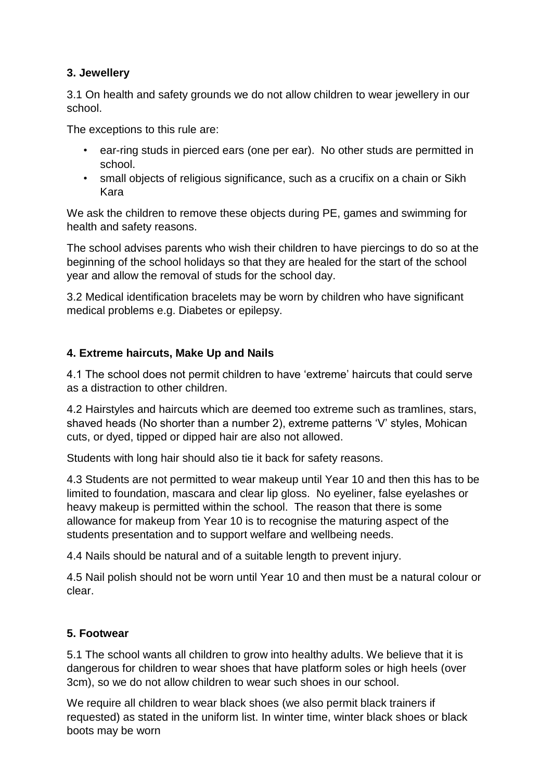# **3. Jewellery**

3.1 On health and safety grounds we do not allow children to wear jewellery in our school.

The exceptions to this rule are:

- ear-ring studs in pierced ears (one per ear). No other studs are permitted in school.
- small objects of religious significance, such as a crucifix on a chain or Sikh Kara

We ask the children to remove these objects during PE, games and swimming for health and safety reasons.

The school advises parents who wish their children to have piercings to do so at the beginning of the school holidays so that they are healed for the start of the school year and allow the removal of studs for the school day.

3.2 Medical identification bracelets may be worn by children who have significant medical problems e.g. Diabetes or epilepsy.

# **4. Extreme haircuts, Make Up and Nails**

4.1 The school does not permit children to have 'extreme' haircuts that could serve as a distraction to other children.

4.2 Hairstyles and haircuts which are deemed too extreme such as tramlines, stars, shaved heads (No shorter than a number 2), extreme patterns 'V' styles, Mohican cuts, or dyed, tipped or dipped hair are also not allowed.

Students with long hair should also tie it back for safety reasons.

4.3 Students are not permitted to wear makeup until Year 10 and then this has to be limited to foundation, mascara and clear lip gloss. No eyeliner, false eyelashes or heavy makeup is permitted within the school. The reason that there is some allowance for makeup from Year 10 is to recognise the maturing aspect of the students presentation and to support welfare and wellbeing needs.

4.4 Nails should be natural and of a suitable length to prevent injury.

4.5 Nail polish should not be worn until Year 10 and then must be a natural colour or clear.

# **5. Footwear**

5.1 The school wants all children to grow into healthy adults. We believe that it is dangerous for children to wear shoes that have platform soles or high heels (over 3cm), so we do not allow children to wear such shoes in our school.

We require all children to wear black shoes (we also permit black trainers if requested) as stated in the uniform list. In winter time, winter black shoes or black boots may be worn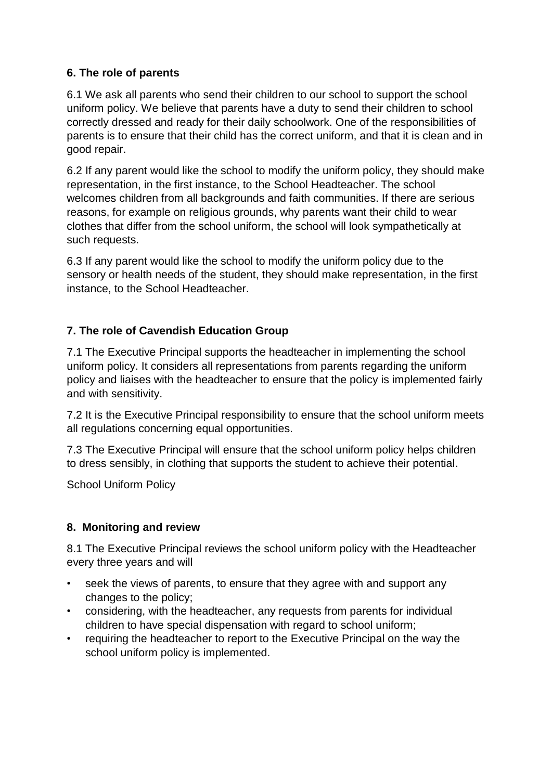# **6. The role of parents**

6.1 We ask all parents who send their children to our school to support the school uniform policy. We believe that parents have a duty to send their children to school correctly dressed and ready for their daily schoolwork. One of the responsibilities of parents is to ensure that their child has the correct uniform, and that it is clean and in good repair.

6.2 If any parent would like the school to modify the uniform policy, they should make representation, in the first instance, to the School Headteacher. The school welcomes children from all backgrounds and faith communities. If there are serious reasons, for example on religious grounds, why parents want their child to wear clothes that differ from the school uniform, the school will look sympathetically at such requests.

6.3 If any parent would like the school to modify the uniform policy due to the sensory or health needs of the student, they should make representation, in the first instance, to the School Headteacher.

# **7. The role of Cavendish Education Group**

7.1 The Executive Principal supports the headteacher in implementing the school uniform policy. It considers all representations from parents regarding the uniform policy and liaises with the headteacher to ensure that the policy is implemented fairly and with sensitivity.

7.2 It is the Executive Principal responsibility to ensure that the school uniform meets all regulations concerning equal opportunities.

7.3 The Executive Principal will ensure that the school uniform policy helps children to dress sensibly, in clothing that supports the student to achieve their potential.

School Uniform Policy

# **8. Monitoring and review**

8.1 The Executive Principal reviews the school uniform policy with the Headteacher every three years and will

- seek the views of parents, to ensure that they agree with and support any changes to the policy;
- considering, with the headteacher, any requests from parents for individual children to have special dispensation with regard to school uniform;
- requiring the headteacher to report to the Executive Principal on the way the school uniform policy is implemented.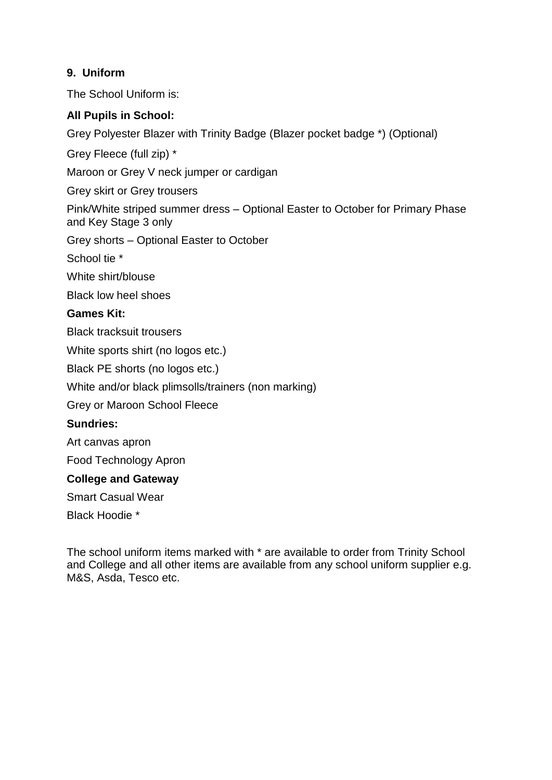# **9. Uniform**

The School Uniform is:

# **All Pupils in School:**

Grey Polyester Blazer with Trinity Badge (Blazer pocket badge \*) (Optional)

Grey Fleece (full zip) \*

Maroon or Grey V neck jumper or cardigan

Grey skirt or Grey trousers

Pink/White striped summer dress – Optional Easter to October for Primary Phase and Key Stage 3 only

Grey shorts – Optional Easter to October

School tie \*

White shirt/blouse

Black low heel shoes

#### **Games Kit:**

Black tracksuit trousers

White sports shirt (no logos etc.)

Black PE shorts (no logos etc.)

White and/or black plimsolls/trainers (non marking)

Grey or Maroon School Fleece

#### **Sundries:**

Art canvas apron

Food Technology Apron

#### **College and Gateway**

Smart Casual Wear

Black Hoodie \*

The school uniform items marked with \* are available to order from Trinity School and College and all other items are available from any school uniform supplier e.g. M&S, Asda, Tesco etc.